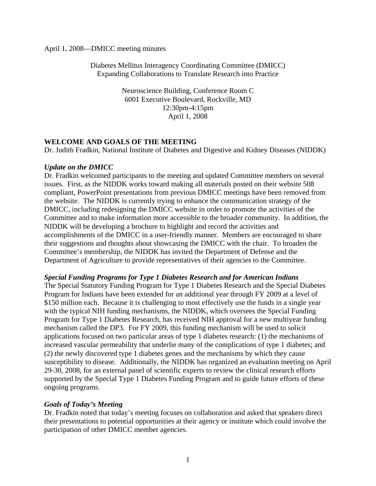#### April 1, 2008—DMICC meeting minutes

Diabetes Mellitus Interagency Coordinating Committee (DMICC) Expanding Collaborations to Translate Research into Practice

> Neuroscience Building, Conference Room C 6001 Executive Boulevard, Rockville, MD 12:30pm-4:15pm April 1, 2008

## **WELCOME AND GOALS OF THE MEETING**

Dr. Judith Fradkin, National Institute of Diabetes and Digestive and Kidney Diseases (NIDDK)

#### *Update on the DMICC*

Dr. Fradkin welcomed participants to the meeting and updated Committee members on several issues. First, as the NIDDK works toward making all materials posted on their website 508 compliant, PowerPoint presentations from previous DMICC meetings have been removed from the website. The NIDDK is currently trying to enhance the communication strategy of the DMICC, including redesigning the DMICC website in order to promote the activities of the Committee and to make information more accessible to the broader community. In addition, the NIDDK will be developing a brochure to highlight and record the activities and accomplishments of the DMICC in a user-friendly manner. Members are encouraged to share their suggestions and thoughts about showcasing the DMICC with the chair. To broaden the Committee's membership, the NIDDK has invited the Department of Defense and the Department of Agriculture to provide representatives of their agencies to the Committee.

#### *Special Funding Programs for Type 1 Diabetes Research and for American Indians*

The Special Statutory Funding Program for Type 1 Diabetes Research and the Special Diabetes Program for Indians have been extended for an additional year through FY 2009 at a level of \$150 million each. Because it is challenging to most effectively use the funds in a single year with the typical NIH funding mechanisms, the NIDDK, which oversees the Special Funding Program for Type 1 Diabetes Research, has received NIH approval for a new multiyear funding mechanism called the DP3. For FY 2009, this funding mechanism will be used to solicit applications focused on two particular areas of type 1 diabetes research: (1) the mechanisms of increased vascular permeability that underlie many of the complications of type 1 diabetes; and (2) the newly discovered type 1 diabetes genes and the mechanisms by which they cause susceptibility to disease. Additionally, the NIDDK has organized an evaluation meeting on April 29-30, 2008, for an external panel of scientific experts to review the clinical research efforts supported by the Special Type 1 Diabetes Funding Program and to guide future efforts of these ongoing programs.

#### *Goals of Today's Meeting*

Dr. Fradkin noted that today's meeting focuses on collaboration and asked that speakers direct their presentations to potential opportunities at their agency or institute which could involve the participation of other DMICC member agencies.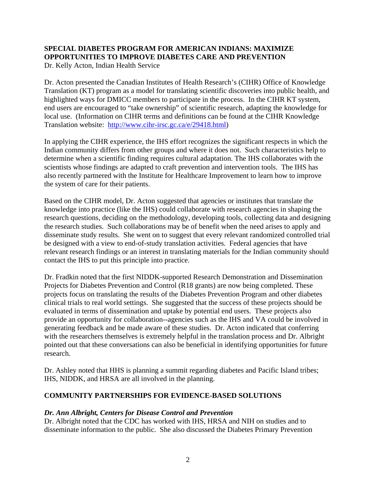## **SPECIAL DIABETES PROGRAM FOR AMERICAN INDIANS: MAXIMIZE OPPORTUNITIES TO IMPROVE DIABETES CARE AND PREVENTION**

Dr. Kelly Acton, Indian Health Service

Dr. Acton presented the Canadian Institutes of Health Research's (CIHR) Office of Knowledge Translation (KT) program as a model for translating scientific discoveries into public health, and highlighted ways for DMICC members to participate in the process. In the CIHR KT system, end users are encouraged to "take ownership" of scientific research, adapting the knowledge for local use. (Information on CIHR terms and definitions can be found at the CIHR Knowledge Translation website: http://www.cihr-irsc.gc.ca/e/29418.html)

In applying the CIHR experience, the IHS effort recognizes the significant respects in which the Indian community differs from other groups and where it does not. Such characteristics help to determine when a scientific finding requires cultural adaptation. The IHS collaborates with the scientists whose findings are adapted to craft prevention and intervention tools. The IHS has also recently partnered with the Institute for Healthcare Improvement to learn how to improve the system of care for their patients.

Based on the CIHR model, Dr. Acton suggested that agencies or institutes that translate the knowledge into practice (like the IHS) could collaborate with research agencies in shaping the research questions, deciding on the methodology, developing tools, collecting data and designing the research studies. Such collaborations may be of benefit when the need arises to apply and disseminate study results. She went on to suggest that every relevant randomized controlled trial be designed with a view to end-of-study translation activities. Federal agencies that have relevant research findings or an interest in translating materials for the Indian community should contact the IHS to put this principle into practice.

Dr. Fradkin noted that the first NIDDK-supported Research Demonstration and Dissemination Projects for Diabetes Prevention and Control (R18 grants) are now being completed. These projects focus on translating the results of the Diabetes Prevention Program and other diabetes clinical trials to real world settings. She suggested that the success of these projects should be evaluated in terms of dissemination and uptake by potential end users. These projects also provide an opportunity for collaboration--agencies such as the IHS and VA could be involved in generating feedback and be made aware of these studies. Dr. Acton indicated that conferring with the researchers themselves is extremely helpful in the translation process and Dr. Albright pointed out that these conversations can also be beneficial in identifying opportunities for future research.

Dr. Ashley noted that HHS is planning a summit regarding diabetes and Pacific Island tribes; IHS, NIDDK, and HRSA are all involved in the planning.

## **COMMUNITY PARTNERSHIPS FOR EVIDENCE-BASED SOLUTIONS**

## *Dr. Ann Albright, Centers for Disease Control and Prevention*

Dr. Albright noted that the CDC has worked with IHS, HRSA and NIH on studies and to disseminate information to the public. She also discussed the Diabetes Primary Prevention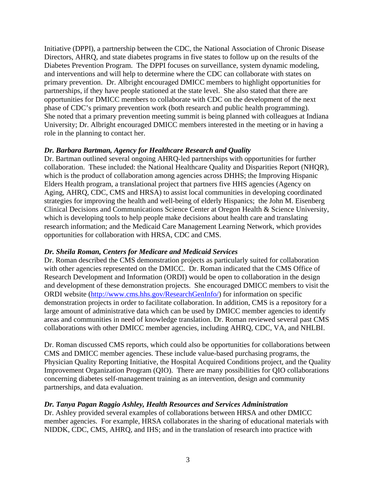Initiative (DPPI), a partnership between the CDC, the National Association of Chronic Disease Directors, AHRQ, and state diabetes programs in five states to follow up on the results of the Diabetes Prevention Program. The DPPI focuses on surveillance, system dynamic modeling, and interventions and will help to determine where the CDC can collaborate with states on primary prevention. Dr. Albright encouraged DMICC members to highlight opportunities for partnerships, if they have people stationed at the state level. She also stated that there are opportunities for DMICC members to collaborate with CDC on the development of the next phase of CDC's primary prevention work (both research and public health programming). She noted that a primary prevention meeting summit is being planned with colleagues at Indiana University; Dr. Albright encouraged DMICC members interested in the meeting or in having a role in the planning to contact her.

## *Dr. Barbara Bartman, Agency for Healthcare Research and Quality*

Dr. Bartman outlined several ongoing AHRQ-led partnerships with opportunities for further collaboration. These included: the National Healthcare Quality and Disparities Report (NHQR), which is the product of collaboration among agencies across DHHS; the Improving Hispanic Elders Health program, a translational project that partners five HHS agencies (Agency on Aging, AHRQ, CDC, CMS and HRSA) to assist local communities in developing coordinated strategies for improving the health and well-being of elderly Hispanics; the John M. Eisenberg Clinical Decisions and Communications Science Center at Oregon Health & Science University, which is developing tools to help people make decisions about health care and translating research information; and the Medicaid Care Management Learning Network, which provides opportunities for collaboration with HRSA, CDC and CMS.

## *Dr. Sheila Roman, Centers for Medicare and Medicaid Services*

Dr. Roman described the CMS demonstration projects as particularly suited for collaboration with other agencies represented on the DMICC. Dr. Roman indicated that the CMS Office of Research Development and Information (ORDI) would be open to collaboration in the design and development of these demonstration projects. She encouraged DMICC members to visit the ORDI website (http://www.cms.hhs.gov/ResearchGenInfo/) for information on specific demonstration projects in order to facilitate collaboration. In addition, CMS is a repository for a large amount of administrative data which can be used by DMICC member agencies to identify areas and communities in need of knowledge translation. Dr. Roman reviewed several past CMS collaborations with other DMICC member agencies, including AHRQ, CDC, VA, and NHLBI.

Dr. Roman discussed CMS reports, which could also be opportunities for collaborations between CMS and DMICC member agencies. These include value-based purchasing programs, the Physician Quality Reporting Initiative, the Hospital Acquired Conditions project, and the Quality Improvement Organization Program (QIO). There are many possibilities for QIO collaborations concerning diabetes self-management training as an intervention, design and community partnerships, and data evaluation.

## *Dr. Tanya Pagan Raggio Ashley, Health Resources and Services Administration*

Dr. Ashley provided several examples of collaborations between HRSA and other DMICC member agencies. For example, HRSA collaborates in the sharing of educational materials with NIDDK, CDC, CMS, AHRQ, and IHS; and in the translation of research into practice with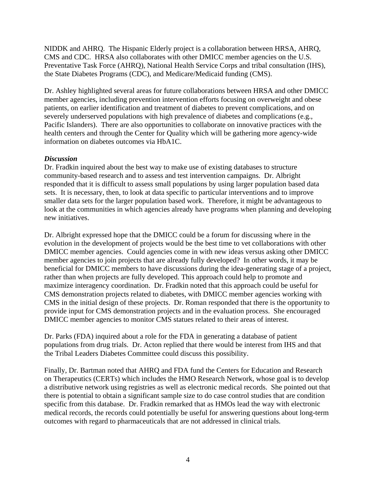NIDDK and AHRQ. The Hispanic Elderly project is a collaboration between HRSA, AHRQ, CMS and CDC. HRSA also collaborates with other DMICC member agencies on the U.S. Preventative Task Force (AHRQ), National Health Service Corps and tribal consultation (IHS), the State Diabetes Programs (CDC), and Medicare/Medicaid funding (CMS).

Dr. Ashley highlighted several areas for future collaborations between HRSA and other DMICC member agencies, including prevention intervention efforts focusing on overweight and obese patients, on earlier identification and treatment of diabetes to prevent complications, and on severely underserved populations with high prevalence of diabetes and complications (e.g., Pacific Islanders). There are also opportunities to collaborate on innovative practices with the health centers and through the Center for Quality which will be gathering more agency-wide information on diabetes outcomes via HbA1C.

#### *Discussion*

Dr. Fradkin inquired about the best way to make use of existing databases to structure community-based research and to assess and test intervention campaigns. Dr. Albright responded that it is difficult to assess small populations by using larger population based data sets. It is necessary, then, to look at data specific to particular interventions and to improve smaller data sets for the larger population based work. Therefore, it might be advantageous to look at the communities in which agencies already have programs when planning and developing new initiatives.

Dr. Albright expressed hope that the DMICC could be a forum for discussing where in the evolution in the development of projects would be the best time to vet collaborations with other DMICC member agencies. Could agencies come in with new ideas versus asking other DMICC member agencies to join projects that are already fully developed? In other words, it may be beneficial for DMICC members to have discussions during the idea-generating stage of a project, rather than when projects are fully developed. This approach could help to promote and maximize interagency coordination. Dr. Fradkin noted that this approach could be useful for CMS demonstration projects related to diabetes, with DMICC member agencies working with CMS in the initial design of these projects. Dr. Roman responded that there is the opportunity to provide input for CMS demonstration projects and in the evaluation process. She encouraged DMICC member agencies to monitor CMS statues related to their areas of interest.

Dr. Parks (FDA) inquired about a role for the FDA in generating a database of patient populations from drug trials. Dr. Acton replied that there would be interest from IHS and that the Tribal Leaders Diabetes Committee could discuss this possibility.

Finally, Dr. Bartman noted that AHRQ and FDA fund the Centers for Education and Research on Therapeutics (CERTs) which includes the HMO Research Network, whose goal is to develop a distributive network using registries as well as electronic medical records. She pointed out that there is potential to obtain a significant sample size to do case control studies that are condition specific from this database. Dr. Fradkin remarked that as HMOs lead the way with electronic medical records, the records could potentially be useful for answering questions about long-term outcomes with regard to pharmaceuticals that are not addressed in clinical trials.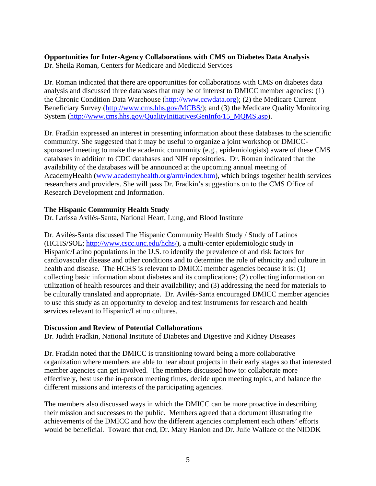# **Opportunities for Inter-Agency Collaborations with CMS on Diabetes Data Analysis**

Dr. Sheila Roman, Centers for Medicare and Medicaid Services

Dr. Roman indicated that there are opportunities for collaborations with CMS on diabetes data analysis and discussed three databases that may be of interest to DMICC member agencies: (1) the Chronic Condition Data Warehouse (http://www.ccwdata.org); (2) the Medicare Current Beneficiary Survey (http://www.cms.hhs.gov/MCBS/); and (3) the Medicare Quality Monitoring System (http://www.cms.hhs.gov/QualityInitiativesGenInfo/15\_MQMS.asp).

Dr. Fradkin expressed an interest in presenting information about these databases to the scientific community. She suggested that it may be useful to organize a joint workshop or DMICCsponsored meeting to make the academic community (e.g., epidemiologists) aware of these CMS databases in addition to CDC databases and NIH repositories. Dr. Roman indicated that the availability of the databases will be announced at the upcoming annual meeting of AcademyHealth (www.academyhealth.org/arm/index.htm), which brings together health services researchers and providers. She will pass Dr. Fradkin's suggestions on to the CMS Office of Research Development and Information.

## **The Hispanic Community Health Study**

Dr. Larissa Avilés-Santa, National Heart, Lung, and Blood Institute

Dr. Avilés-Santa discussed The Hispanic Community Health Study / Study of Latinos (HCHS/SOL; http://www.cscc.unc.edu/hchs/), a multi-center epidemiologic study in Hispanic/Latino populations in the U.S. to identify the prevalence of and risk factors for cardiovascular disease and other conditions and to determine the role of ethnicity and culture in health and disease. The HCHS is relevant to DMICC member agencies because it is: (1) collecting basic information about diabetes and its complications; (2) collecting information on utilization of health resources and their availability; and (3) addressing the need for materials to be culturally translated and appropriate. Dr. Avilés-Santa encouraged DMICC member agencies to use this study as an opportunity to develop and test instruments for research and health services relevant to Hispanic/Latino cultures.

## **Discussion and Review of Potential Collaborations**

Dr. Judith Fradkin, National Institute of Diabetes and Digestive and Kidney Diseases

Dr. Fradkin noted that the DMICC is transitioning toward being a more collaborative organization where members are able to hear about projects in their early stages so that interested member agencies can get involved. The members discussed how to: collaborate more effectively, best use the in-person meeting times, decide upon meeting topics, and balance the different missions and interests of the participating agencies.

The members also discussed ways in which the DMICC can be more proactive in describing their mission and successes to the public. Members agreed that a document illustrating the achievements of the DMICC and how the different agencies complement each others' efforts would be beneficial. Toward that end, Dr. Mary Hanlon and Dr. Julie Wallace of the NIDDK